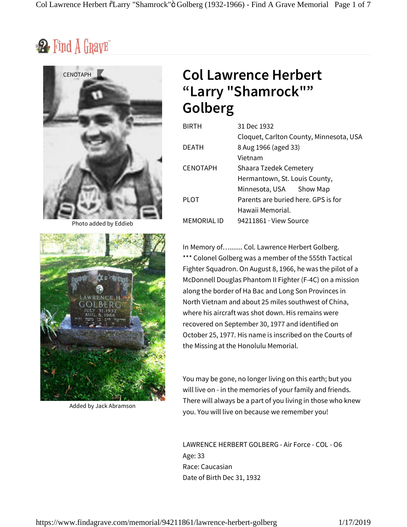$\mathbf{2}$  Find  $\tilde{A}$  GravE



Photo added by Eddieb



Added by Jack Abramson

# **Col Lawrence Herbert "Larry "Shamrock"" Golberg**

| <b>BIRTH</b>       | 31 Dec 1932                             |
|--------------------|-----------------------------------------|
|                    | Cloquet, Carlton County, Minnesota, USA |
| DEATH              | 8 Aug 1966 (aged 33)                    |
|                    | Vietnam                                 |
| <b>CENOTAPH</b>    | Shaara Tzedek Cemetery                  |
|                    | Hermantown, St. Louis County,           |
|                    | Minnesota, USA Y Show Map               |
| PLOT               | Parents are buried here. GPS is for     |
|                    | Hawaii Memorial.                        |
| <b>MEMORIAL ID</b> | $94211861 \cdot$ View Source            |
|                    |                                         |

In Memory of…....... Col. Lawrence Herbert Golberg. \*\*\* Colonel Golberg was a member of the 555th Tactical Fighter Squadron. On August 8, 1966, he was the pilot of a McDonnell Douglas Phantom II Fighter (F-4C) on a mission along the border of Ha Bac and Long Son Provinces in North Vietnam and about 25 miles southwest of China, where his aircraft was shot down. His remains were recovered on September 30, 1977 and identified on October 25, 1977. His name is inscribed on the Courts of the Missing at the Honolulu Memorial.

You may be gone, no longer living on this earth; but you will live on - in the memories of your family and friends. There will always be a part of you living in those who knew you. You will live on because we remember you!

LAWRENCE HERBERT GOLBERG - Air Force - COL - O6 Age: 33 Race: Caucasian Date of Birth Dec 31, 1932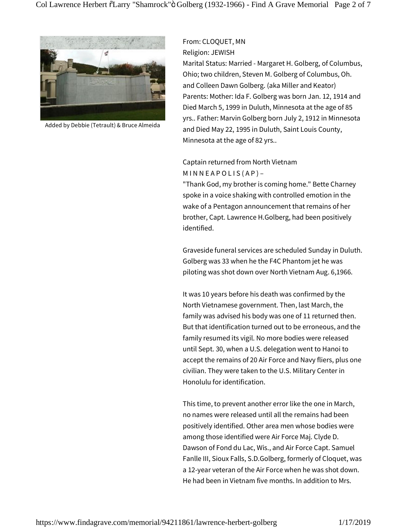

Added by Debbie (Tetrault) & Bruce Almeida

#### From: CLOQUET, MN Religion: JEWISH

Marital Status: Married - Margaret H. Golberg, of Columbus, Ohio; two children, Steven M. Golberg of Columbus, Oh. and Colleen Dawn Golberg. (aka Miller and Keator) Parents: Mother: Ida F. Golberg was born Jan. 12, 1914 and Died March 5, 1999 in Duluth, Minnesota at the age of 85 yrs.. Father: Marvin Golberg born July 2, 1912 in Minnesota and Died May 22, 1995 in Duluth, Saint Louis County, Minnesota at the age of 82 yrs..

### Captain returned from North Vietnam  $MINNEAPOLIS(AP) -$

"Thank God, my brother is coming home." Bette Charney spoke in a voice shaking with controlled emotion in the wake of a Pentagon announcement that remains of her brother, Capt. Lawrence H.Golberg, had been positively identified.

Graveside funeral services are scheduled Sunday in Duluth. Golberg was 33 when he the F4C Phantom jet he was piloting was shot down over North Vietnam Aug. 6,1966.

It was 10 years before his death was confirmed by the North Vietnamese government. Then, last March, the family was advised his body was one of 11 returned then. But that identification turned out to be erroneous, and the family resumed its vigil. No more bodies were released until Sept. 30, when a U.S. delegation went to Hanoi to accept the remains of 20 Air Force and Navy fliers, plus one civilian. They were taken to the U.S. Military Center in Honolulu for identification.

This time, to prevent another error like the one in March, no names were released until all the remains had been positively identified. Other area men whose bodies were among those identified were Air Force Maj. Clyde D. Dawson of Fond du Lac, Wis., and Air Force Capt. Samuel Fanlle III, Sioux Falls, S.D.Golberg, formerly of Cloquet, was a 12-year veteran of the Air Force when he was shot down. He had been in Vietnam five months. In addition to Mrs.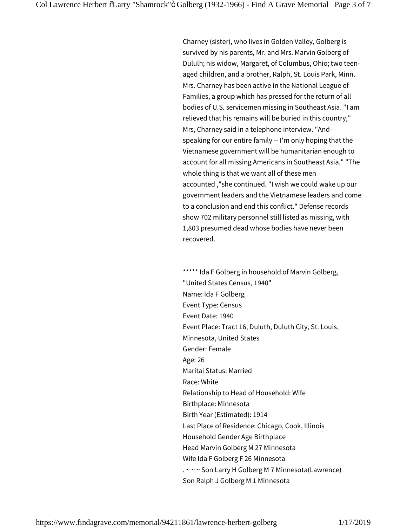Charney (sister), who lives in Golden Valley, Golberg is survived by his parents, Mr. and Mrs. Marvin Golberg of Dululh; his widow, Margaret, of Columbus, Ohio; two teenaged children, and a brother, Ralph, St. Louis Park, Minn. Mrs. Charney has been active in the National League of Families, a group which has pressed for the return of all bodies of U.S. servicemen missing in Southeast Asia. "I am relieved that his remains will be buried in this country," Mrs, Charney said in a telephone interview. "And- speaking for our entire family -- I'm only hoping that the Vietnamese government will be humanitarian enough to account for all missing Americans in Southeast Asia." "The whole thing is that we want all of these men accounted ,"she continued. "I wish we could wake up our government leaders and the Vietnamese leaders and come to a conclusion and end this conflict." Defense records show 702 military personnel still listed as missing, with 1,803 presumed dead whose bodies have never been recovered.

\*\*\*\*\* Ida F Golberg in household of Marvin Golberg, "United States Census, 1940" Name: Ida F Golberg Event Type: Census Event Date: 1940 Event Place: Tract 16, Duluth, Duluth City, St. Louis, Minnesota, United States Gender: Female Age: 26 Marital Status: Married Race: White Relationship to Head of Household: Wife Birthplace: Minnesota Birth Year (Estimated): 1914 Last Place of Residence: Chicago, Cook, Illinois Household Gender Age Birthplace Head Marvin Golberg M 27 Minnesota Wife Ida F Golberg F 26 Minnesota . ~ ~ ~ Son Larry H Golberg M 7 Minnesota(Lawrence) Son Ralph J Golberg M 1 Minnesota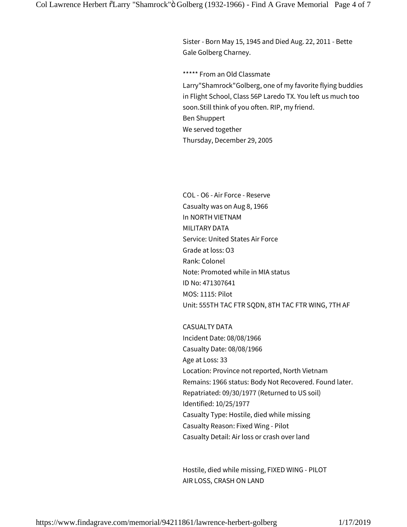Sister - Born May 15, 1945 and Died Aug. 22, 2011 - Bette Gale Golberg Charney.

\*\*\*\*\* From an Old Classmate Larry"Shamrock"Golberg, one of my favorite flying buddies in Flight School, Class 56P Laredo TX. You left us much too soon.Still think of you often. RIP, my friend. Ben Shuppert We served together Thursday, December 29, 2005

COL - O6 - Air Force - Reserve Casualty was on Aug 8, 1966 In NORTH VIETNAM MILITARY DATA Service: United States Air Force Grade at loss: O3 Rank: Colonel Note: Promoted while in MIA status ID No: 471307641 MOS: 1115: Pilot Unit: 555TH TAC FTR SQDN, 8TH TAC FTR WING, 7TH AF

CASUALTY DATA Incident Date: 08/08/1966 Casualty Date: 08/08/1966 Age at Loss: 33 Location: Province not reported, North Vietnam Remains: 1966 status: Body Not Recovered. Found later. Repatriated: 09/30/1977 (Returned to US soil) Identified: 10/25/1977 Casualty Type: Hostile, died while missing Casualty Reason: Fixed Wing - Pilot Casualty Detail: Air loss or crash over land

Hostile, died while missing, FIXED WING - PILOT AIR LOSS, CRASH ON LAND

https://www.findagrave.com/memorial/94211861/lawrence-herbert-golberg 1/17/2019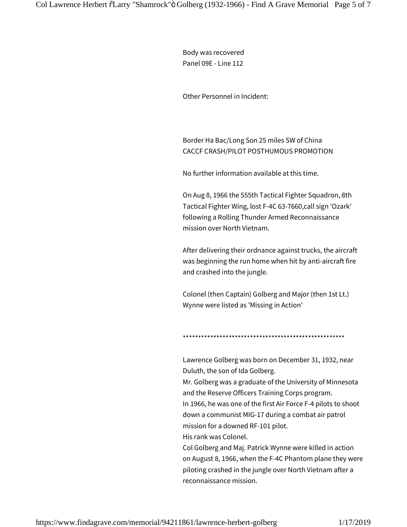Body was recovered Panel 09E - Line 112

Other Personnel in Incident:

Border Ha Bac/Long Son 25 miles SW of China CACCF CRASH/PILOT POSTHUMOUS PROMOTION

No further information available at this time.

On Aug 8, 1966 the 555th Tactical Fighter Squadron, 8th Tactical Fighter Wing, lost F-4C 63-7660,call sign 'Ozark' following a Rolling Thunder Armed Reconnaissance mission over North Vietnam.

After delivering their ordnance against trucks, the aircraft was beginning the run home when hit by anti-aircraft fire and crashed into the jungle.

Colonel (then Captain) Golberg and Major (then 1st Lt.) Wynne were listed as 'Missing in Action'

#### \*\*\*\*\*\*\*\*\*\*\*\*\*\*\*\*\*\*\*\*\*\*\*\*\*\*\*\*\*\*\*\*\*\*\*\*\*\*\*\*\*\*\*\*\*\*\*\*\*\*\*\*\*

Lawrence Golberg was born on December 31, 1932, near Duluth, the son of Ida Golberg. Mr. Golberg was a graduate of the University of Minnesota and the Reserve Officers Training Corps program. In 1966, he was one of the first Air Force F-4 pilots to shoot down a communist MIG-17 during a combat air patrol mission for a downed RF-101 pilot. His rank was Colonel.

Col Golberg and Maj. Patrick Wynne were killed in action on August 8, 1966, when the F-4C Phantom plane they were piloting crashed in the jungle over North Vietnam after a reconnaissance mission.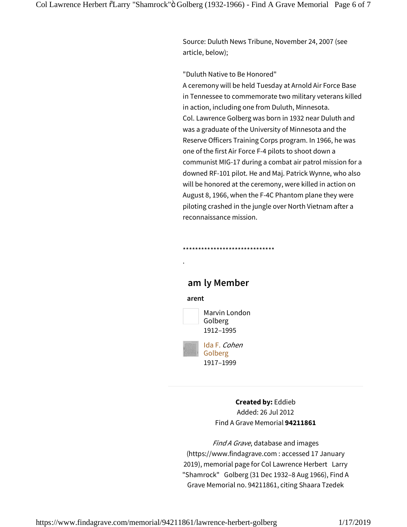Source: Duluth News Tribune, November 24, 2007 (see article, below);

"Duluth Native to Be Honored"

A ceremony will be held Tuesday at Arnold Air Force Base in Tennessee to commemorate two military veterans killed in action, including one from Duluth, Minnesota. Col. Lawrence Golberg was born in 1932 near Duluth and was a graduate of the University of Minnesota and the Reserve Officers Training Corps program. In 1966, he was one of the first Air Force F-4 pilots to shoot down a communist MIG-17 during a combat air patrol mission for a downed RF-101 pilot. He and Maj. Patrick Wynne, who also will be honored at the ceremony, were killed in action on August 8, 1966, when the F-4C Phantom plane they were piloting crashed in the jungle over North Vietnam after a reconnaissance mission.

## **amly Member**

\*\*\*\*\*\*\*\*\*\*\*\*\*\*\*\*\*\*\*\*\*\*\*\*\*\*\*\*\*\*

#### **arent**

.



1912–1995

Ida F. Cohen Golberg 1917–1999

> **Created by:** Eddieb Added:26 Jul 2012 Find A Grave Memorial **94211861**

Find A Grave, database and images (https://www.findagrave.com : accessed 17 January 2019), memorial page for Col Lawrence Herbert Larry "Shamrock" Golberg (31 Dec 1932–8 Aug 1966), Find A Grave Memorial no. 94211861, citing Shaara Tzedek